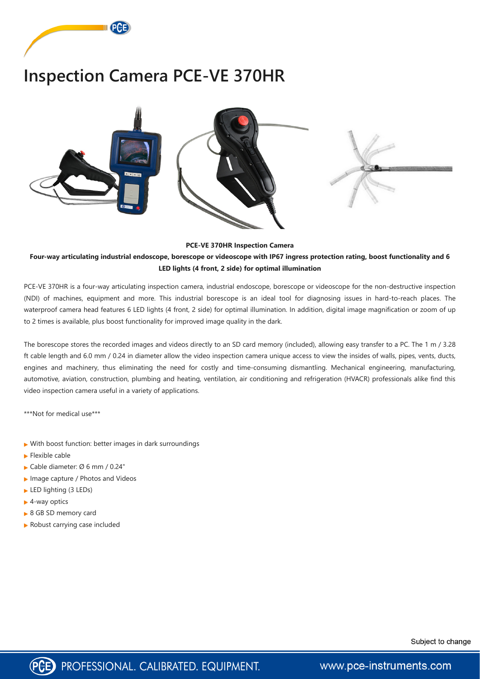

## **Inspection Camera PCE-VE 370HR**



## **PCE-VE 370HR Inspection Camera**

## **Four-way articulating industrial endoscope, borescope or videoscope with IP67 ingress protection rating, boost functionality and 6 LED lights (4 front, 2 side) for optimal illumination**

PCE-VE 370HR is a four-way articulating inspection camera, industrial endoscope, borescope or videoscope for the non-destructive inspection (NDI) of machines, equipment and more. This industrial borescope is an ideal tool for diagnosing issues in hard-to-reach places. The waterproof camera head features 6 LED lights (4 front, 2 side) for optimal illumination. In addition, digital image magnification or zoom of up to 2 times is available, plus boost functionality for improved image quality in the dark.

- With boost function: better images in dark surroundings
- $\blacktriangleright$  Flexible cable
- Cable diameter: Ø 6 mm / 0.24"
- **Image capture / Photos and Videos**
- ► LED lighting (3 LEDs)
- ► 4-way optics
- 

▶ 8 GB SD memory card

Robust carrying case included

Subject to change



www.pce-instruments.com

The borescope stores the recorded images and videos directly to an SD card memory (included), allowing easy transfer to a PC. The 1 m / 3.28 ft cable length and 6.0 mm / 0.24 in diameter allow the video inspection camera unique access to view the insides of walls, pipes, vents, ducts, engines and machinery, thus eliminating the need for costly and time-consuming dismantling. Mechanical engineering, manufacturing, automotive, aviation, construction, plumbing and heating, ventilation, air conditioning and refrigeration (HVACR) professionals alike find this video inspection camera useful in a variety of applications.

\*\*\*Not for medical use\*\*\*